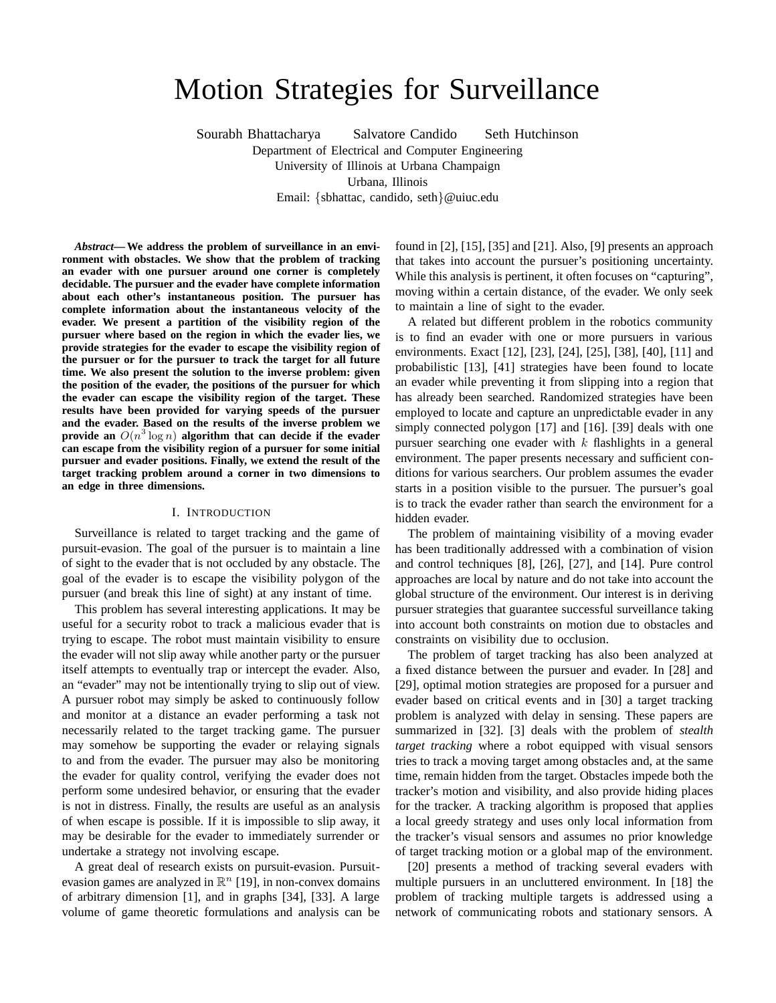# Motion Strategies for Surveillance

Sourabh Bhattacharya Salvatore Candido Seth Hutchinson

Department of Electrical and Computer Engineering University of Illinois at Urbana Champaign

Urbana, Illinois

Email: {sbhattac, candido, seth}@uiuc.edu

*Abstract***— We address the problem of surveillance in an environment with obstacles. We show that the problem of tracking an evader with one pursuer around one corner is completely decidable. The pursuer and the evader have complete information about each other's instantaneous position. The pursuer has complete information about the instantaneous velocity of the evader. We present a partition of the visibility region of the pursuer where based on the region in which the evader lies, we provide strategies for the evader to escape the visibility region of the pursuer or for the pursuer to track the target for all future time. We also present the solution to the inverse problem: given the position of the evader, the positions of the pursuer for which the evader can escape the visibility region of the target. These results have been provided for varying speeds of the pursuer and the evader. Based on the results of the inverse problem we provide an** O(n 3 log n) **algorithm that can decide if the evader can escape from the visibility region of a pursuer for some initial pursuer and evader positions. Finally, we extend the result of the target tracking problem around a corner in two dimensions to an edge in three dimensions.**

#### I. INTRODUCTION

Surveillance is related to target tracking and the game of pursuit-evasion. The goal of the pursuer is to maintain a line of sight to the evader that is not occluded by any obstacle. The goal of the evader is to escape the visibility polygon of the pursuer (and break this line of sight) at any instant of time.

This problem has several interesting applications. It may be useful for a security robot to track a malicious evader that is trying to escape. The robot must maintain visibility to ensure the evader will not slip away while another party or the pursuer itself attempts to eventually trap or intercept the evader. Also, an "evader" may not be intentionally trying to slip out of view. A pursuer robot may simply be asked to continuously follow and monitor at a distance an evader performing a task not necessarily related to the target tracking game. The pursuer may somehow be supporting the evader or relaying signals to and from the evader. The pursuer may also be monitoring the evader for quality control, verifying the evader does not perform some undesired behavior, or ensuring that the evader is not in distress. Finally, the results are useful as an analysis of when escape is possible. If it is impossible to slip away, it may be desirable for the evader to immediately surrender or undertake a strategy not involving escape.

A great deal of research exists on pursuit-evasion. Pursuitevasion games are analyzed in  $\mathbb{R}^n$  [19], in non-convex domains of arbitrary dimension [1], and in graphs [34], [33]. A large volume of game theoretic formulations and analysis can be found in [2], [15], [35] and [21]. Also, [9] presents an approach that takes into account the pursuer's positioning uncertainty. While this analysis is pertinent, it often focuses on "capturing", moving within a certain distance, of the evader. We only seek to maintain a line of sight to the evader.

A related but different problem in the robotics community is to find an evader with one or more pursuers in various environments. Exact [12], [23], [24], [25], [38], [40], [11] and probabilistic [13], [41] strategies have been found to locate an evader while preventing it from slipping into a region that has already been searched. Randomized strategies have been employed to locate and capture an unpredictable evader in any simply connected polygon [17] and [16]. [39] deals with one pursuer searching one evader with  $k$  flashlights in a general environment. The paper presents necessary and sufficient conditions for various searchers. Our problem assumes the evader starts in a position visible to the pursuer. The pursuer's goal is to track the evader rather than search the environment for a hidden evader.

The problem of maintaining visibility of a moving evader has been traditionally addressed with a combination of vision and control techniques [8], [26], [27], and [14]. Pure control approaches are local by nature and do not take into account the global structure of the environment. Our interest is in deriving pursuer strategies that guarantee successful surveillance taking into account both constraints on motion due to obstacles and constraints on visibility due to occlusion.

The problem of target tracking has also been analyzed at a fixed distance between the pursuer and evader. In [28] and [29], optimal motion strategies are proposed for a pursuer and evader based on critical events and in [30] a target tracking problem is analyzed with delay in sensing. These papers are summarized in [32]. [3] deals with the problem of *stealth target tracking* where a robot equipped with visual sensors tries to track a moving target among obstacles and, at the same time, remain hidden from the target. Obstacles impede both the tracker's motion and visibility, and also provide hiding places for the tracker. A tracking algorithm is proposed that applies a local greedy strategy and uses only local information from the tracker's visual sensors and assumes no prior knowledge of target tracking motion or a global map of the environment.

[20] presents a method of tracking several evaders with multiple pursuers in an uncluttered environment. In [18] the problem of tracking multiple targets is addressed using a network of communicating robots and stationary sensors. A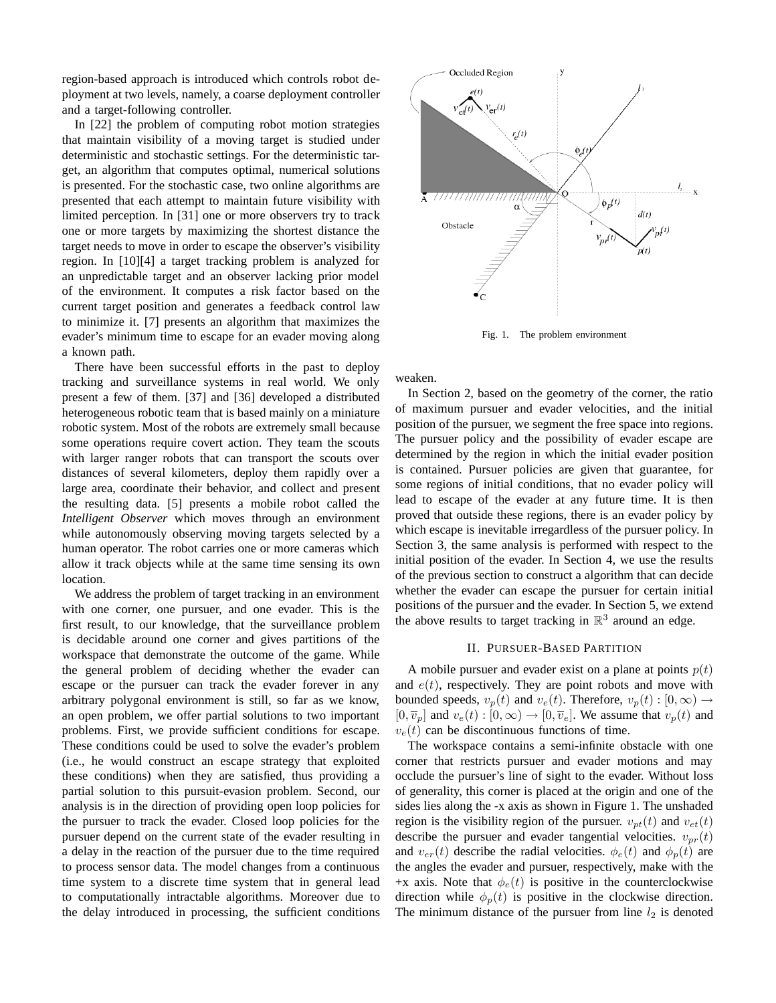region-based approach is introduced which controls robot deployment at two levels, namely, a coarse deployment controller and a target-following controller.

In [22] the problem of computing robot motion strategies that maintain visibility of a moving target is studied under deterministic and stochastic settings. For the deterministic target, an algorithm that computes optimal, numerical solutions is presented. For the stochastic case, two online algorithms are presented that each attempt to maintain future visibility with limited perception. In [31] one or more observers try to track one or more targets by maximizing the shortest distance the target needs to move in order to escape the observer's visibility region. In [10][4] a target tracking problem is analyzed for an unpredictable target and an observer lacking prior model of the environment. It computes a risk factor based on the current target position and generates a feedback control law to minimize it. [7] presents an algorithm that maximizes the evader's minimum time to escape for an evader moving along a known path.

There have been successful efforts in the past to deploy tracking and surveillance systems in real world. We only present a few of them. [37] and [36] developed a distributed heterogeneous robotic team that is based mainly on a miniature robotic system. Most of the robots are extremely small because some operations require covert action. They team the scouts with larger ranger robots that can transport the scouts over distances of several kilometers, deploy them rapidly over a large area, coordinate their behavior, and collect and present the resulting data. [5] presents a mobile robot called the *Intelligent Observer* which moves through an environment while autonomously observing moving targets selected by a human operator. The robot carries one or more cameras which allow it track objects while at the same time sensing its own location.

We address the problem of target tracking in an environment with one corner, one pursuer, and one evader. This is the first result, to our knowledge, that the surveillance problem is decidable around one corner and gives partitions of the workspace that demonstrate the outcome of the game. While the general problem of deciding whether the evader can escape or the pursuer can track the evader forever in any arbitrary polygonal environment is still, so far as we know, an open problem, we offer partial solutions to two important problems. First, we provide sufficient conditions for escape. These conditions could be used to solve the evader's problem (i.e., he would construct an escape strategy that exploited these conditions) when they are satisfied, thus providing a partial solution to this pursuit-evasion problem. Second, our analysis is in the direction of providing open loop policies for the pursuer to track the evader. Closed loop policies for the pursuer depend on the current state of the evader resulting in a delay in the reaction of the pursuer due to the time required to process sensor data. The model changes from a continuous time system to a discrete time system that in general lead to computationally intractable algorithms. Moreover due to the delay introduced in processing, the sufficient conditions



Fig. 1. The problem environment

weaken.

In Section 2, based on the geometry of the corner, the ratio of maximum pursuer and evader velocities, and the initial position of the pursuer, we segment the free space into regions. The pursuer policy and the possibility of evader escape are determined by the region in which the initial evader position is contained. Pursuer policies are given that guarantee, for some regions of initial conditions, that no evader policy will lead to escape of the evader at any future time. It is then proved that outside these regions, there is an evader policy by which escape is inevitable irregardless of the pursuer policy. In Section 3, the same analysis is performed with respect to the initial position of the evader. In Section 4, we use the results of the previous section to construct a algorithm that can decide whether the evader can escape the pursuer for certain initial positions of the pursuer and the evader. In Section 5, we extend the above results to target tracking in  $\mathbb{R}^3$  around an edge.

# II. PURSUER-BASED PARTITION

A mobile pursuer and evader exist on a plane at points  $p(t)$ and  $e(t)$ , respectively. They are point robots and move with bounded speeds,  $v_p(t)$  and  $v_e(t)$ . Therefore,  $v_p(t) : [0, \infty) \rightarrow$  $[0, \overline{v}_p]$  and  $v_e(t) : [0, \infty) \rightarrow [0, \overline{v}_e]$ . We assume that  $v_p(t)$  and  $v_e(t)$  can be discontinuous functions of time.

The workspace contains a semi-infinite obstacle with one corner that restricts pursuer and evader motions and may occlude the pursuer's line of sight to the evader. Without loss of generality, this corner is placed at the origin and one of the sides lies along the -x axis as shown in Figure 1. The unshaded region is the visibility region of the pursuer.  $v_{pt}(t)$  and  $v_{et}(t)$ describe the pursuer and evader tangential velocities.  $v_{pr}(t)$ and  $v_{er}(t)$  describe the radial velocities.  $\phi_e(t)$  and  $\phi_p(t)$  are the angles the evader and pursuer, respectively, make with the +x axis. Note that  $\phi_e(t)$  is positive in the counterclockwise direction while  $\phi_p(t)$  is positive in the clockwise direction. The minimum distance of the pursuer from line  $l_2$  is denoted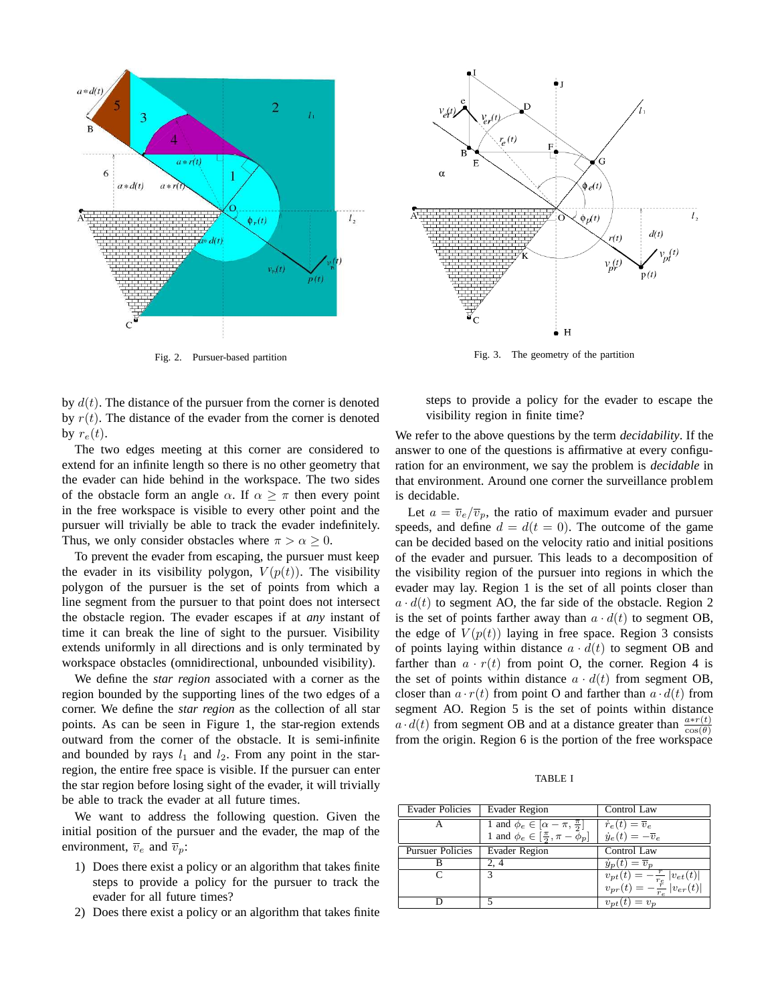

Fig. 2. Pursuer-based partition



Fig. 3. The geometry of the partition

by  $d(t)$ . The distance of the pursuer from the corner is denoted by  $r(t)$ . The distance of the evader from the corner is denoted by  $r_e(t)$ .

The two edges meeting at this corner are considered to extend for an infinite length so there is no other geometry that the evader can hide behind in the workspace. The two sides of the obstacle form an angle  $\alpha$ . If  $\alpha \geq \pi$  then every point in the free workspace is visible to every other point and the pursuer will trivially be able to track the evader indefinitely. Thus, we only consider obstacles where  $\pi > \alpha \geq 0$ .

To prevent the evader from escaping, the pursuer must keep the evader in its visibility polygon,  $V(p(t))$ . The visibility polygon of the pursuer is the set of points from which a line segment from the pursuer to that point does not intersect the obstacle region. The evader escapes if at *any* instant of time it can break the line of sight to the pursuer. Visibility extends uniformly in all directions and is only terminated by workspace obstacles (omnidirectional, unbounded visibility).

We define the *star region* associated with a corner as the region bounded by the supporting lines of the two edges of a corner. We define the *star region* as the collection of all star points. As can be seen in Figure 1, the star-region extends outward from the corner of the obstacle. It is semi-infinite and bounded by rays  $l_1$  and  $l_2$ . From any point in the starregion, the entire free space is visible. If the pursuer can enter the star region before losing sight of the evader, it will trivially be able to track the evader at all future times.

We want to address the following question. Given the initial position of the pursuer and the evader, the map of the environment,  $\overline{v}_e$  and  $\overline{v}_p$ :

- 1) Does there exist a policy or an algorithm that takes finite steps to provide a policy for the pursuer to track the evader for all future times?
- 2) Does there exist a policy or an algorithm that takes finite

steps to provide a policy for the evader to escape the visibility region in finite time?

We refer to the above questions by the term *decidability*. If the answer to one of the questions is affirmative at every configuration for an environment, we say the problem is *decidable* in that environment. Around one corner the surveillance problem is decidable.

Let  $a = \overline{v}_e/\overline{v}_p$ , the ratio of maximum evader and pursuer speeds, and define  $d = d(t = 0)$ . The outcome of the game can be decided based on the velocity ratio and initial positions of the evader and pursuer. This leads to a decomposition of the visibility region of the pursuer into regions in which the evader may lay. Region 1 is the set of all points closer than  $a \cdot d(t)$  to segment AO, the far side of the obstacle. Region 2 is the set of points farther away than  $a \cdot d(t)$  to segment OB, the edge of  $V(p(t))$  laying in free space. Region 3 consists of points laying within distance  $a \cdot d(t)$  to segment OB and farther than  $a \cdot r(t)$  from point O, the corner. Region 4 is the set of points within distance  $a \cdot d(t)$  from segment OB, closer than  $a \cdot r(t)$  from point O and farther than  $a \cdot d(t)$  from segment AO. Region 5 is the set of points within distance  $a \cdot d(t)$  from segment OB and at a distance greater than  $\frac{a*r(t)}{\cos(\theta)}$ from the origin. Region 6 is the portion of the free workspace

TABLE I

| <b>Evader Policies</b>  | <b>Evader Region</b>                                                                                 | Control Law                                                                          |
|-------------------------|------------------------------------------------------------------------------------------------------|--------------------------------------------------------------------------------------|
|                         |                                                                                                      | $\dot{r}_e(t)=\overline{v}_e$                                                        |
|                         | 1 and $\phi_e \in [\alpha - \pi, \frac{\pi}{2}]$<br>1 and $\phi_e \in [\frac{\pi}{2}, \pi - \phi_p]$ | $\dot{y}_e(t) = -\overline{v}_e$                                                     |
| <b>Pursuer Policies</b> | Evader Region                                                                                        | Control Law                                                                          |
|                         | 2, 4                                                                                                 | $=\overline{v}_n$                                                                    |
|                         | 3                                                                                                    | $v_{pt}(t) = -\frac{r}{r_e}  v_{et}(t) $<br>$v_{pr}(t) = -\frac{r}{r_e}  v_{er}(t) $ |
|                         |                                                                                                      |                                                                                      |
|                         |                                                                                                      | $= v_n$<br>$v_{nt}$                                                                  |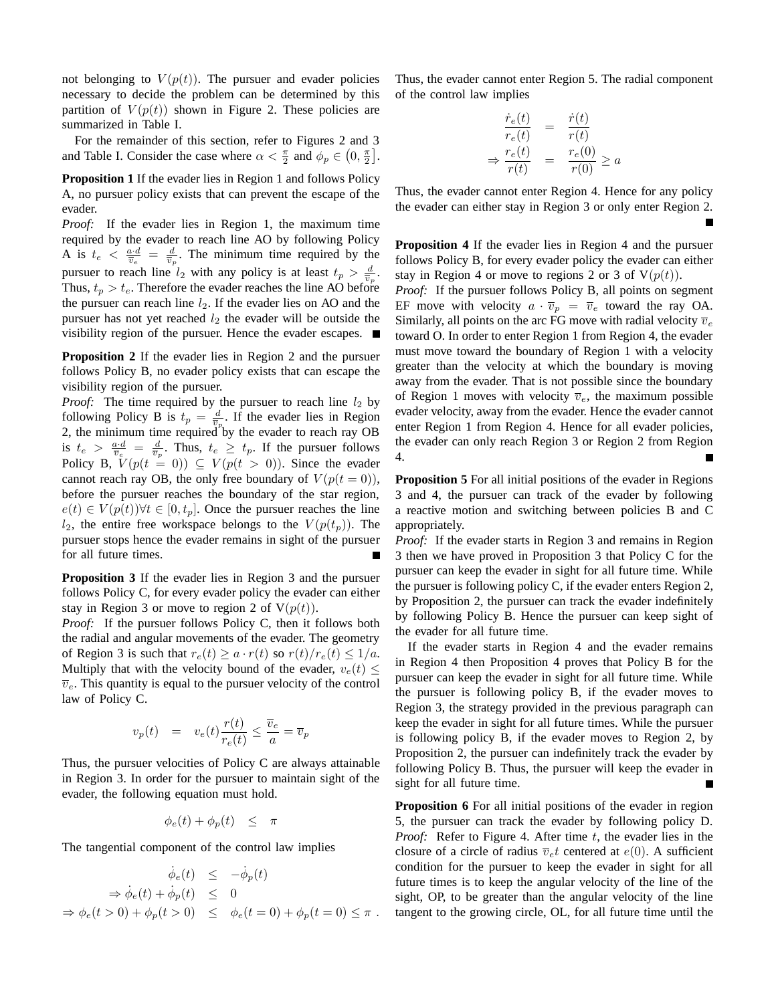not belonging to  $V(p(t))$ . The pursuer and evader policies necessary to decide the problem can be determined by this partition of  $V(p(t))$  shown in Figure 2. These policies are summarized in Table I.

For the remainder of this section, refer to Figures 2 and 3 and Table I. Consider the case where  $\alpha < \frac{\pi}{2}$  and  $\phi_p \in (0, \frac{\pi}{2}]$ .

**Proposition 1** If the evader lies in Region 1 and follows Policy A, no pursuer policy exists that can prevent the escape of the evader.

*Proof:* If the evader lies in Region 1, the maximum time required by the evader to reach line AO by following Policy A is  $t_e < \frac{a \cdot d}{\overline{n}_e}$  $\frac{a \cdot d}{\overline{v}_e} = \frac{d}{\overline{v}_p}$ . The minimum time required by the pursuer to reach line  $l_2$  with any policy is at least  $t_p > \frac{d}{\overline{v}_p}$ . Thus,  $t_p > t_e$ . Therefore the evader reaches the line AO before the pursuer can reach line  $l_2$ . If the evader lies on AO and the pursuer has not yet reached  $l_2$  the evader will be outside the visibility region of the pursuer. Hence the evader escapes.

**Proposition 2** If the evader lies in Region 2 and the pursuer follows Policy B, no evader policy exists that can escape the visibility region of the pursuer.

*Proof:* The time required by the pursuer to reach line  $l_2$  by following Policy B is  $t_p = \frac{d}{\overline{v}_p}$ . If the evader lies in Region 2, the minimum time required by the evader to reach ray OB is  $t_e > \frac{a \cdot d}{\overline{v}_e}$  $\frac{v^2 d}{\overline{v}_e} = \frac{d}{\overline{v}_p}$ . Thus,  $t_e \geq t_p$ . If the pursuer follows Policy B,  $V(p(t = 0)) \subseteq V(p(t > 0))$ . Since the evader cannot reach ray OB, the only free boundary of  $V(p(t = 0))$ , before the pursuer reaches the boundary of the star region,  $e(t) \in V(p(t)) \forall t \in [0, t_p]$ . Once the pursuer reaches the line  $l_2$ , the entire free workspace belongs to the  $V(p(t_n))$ . The pursuer stops hence the evader remains in sight of the pursuer for all future times.

**Proposition 3** If the evader lies in Region 3 and the pursuer follows Policy C, for every evader policy the evader can either stay in Region 3 or move to region 2 of  $V(p(t))$ .

*Proof:* If the pursuer follows Policy C, then it follows both the radial and angular movements of the evader. The geometry of Region 3 is such that  $r_e(t) \ge a \cdot r(t)$  so  $r(t)/r_e(t) \le 1/a$ . Multiply that with the velocity bound of the evader,  $v_e(t) \leq$  $\overline{v}_e$ . This quantity is equal to the pursuer velocity of the control law of Policy C.

$$
v_p(t) = v_e(t) \frac{r(t)}{r_e(t)} \le \frac{\overline{v}_e}{a} = \overline{v}_p
$$

Thus, the pursuer velocities of Policy C are always attainable in Region 3. In order for the pursuer to maintain sight of the evader, the following equation must hold.

$$
\phi_e(t) + \phi_p(t) \leq \pi
$$

The tangential component of the control law implies

$$
\dot{\phi}_e(t) \leq -\dot{\phi}_p(t)
$$
\n
$$
\Rightarrow \dot{\phi}_e(t) + \dot{\phi}_p(t) \leq 0
$$
\n
$$
\Rightarrow \phi_e(t) > 0) + \phi_p(t) > 0 \leq \phi_e(t=0) + \phi_p(t=0) \leq \pi.
$$

Thus, the evader cannot enter Region 5. The radial component of the control law implies

$$
\frac{\dot{r}_e(t)}{r_e(t)} = \frac{\dot{r}(t)}{r(t)} \n\Rightarrow \frac{r_e(t)}{r(t)} = \frac{r_e(0)}{r(0)} \ge a
$$

Thus, the evader cannot enter Region 4. Hence for any policy the evader can either stay in Region 3 or only enter Region 2.

**Proposition 4** If the evader lies in Region 4 and the pursuer follows Policy B, for every evader policy the evader can either stay in Region 4 or move to regions 2 or 3 of  $V(p(t))$ .

*Proof:* If the pursuer follows Policy B, all points on segment EF move with velocity  $a \cdot \overline{v}_p = \overline{v}_e$  toward the ray OA. Similarly, all points on the arc FG move with radial velocity  $\overline{v}_e$ toward O. In order to enter Region 1 from Region 4, the evader must move toward the boundary of Region 1 with a velocity greater than the velocity at which the boundary is moving away from the evader. That is not possible since the boundary of Region 1 moves with velocity  $\overline{v}_e$ , the maximum possible evader velocity, away from the evader. Hence the evader cannot enter Region 1 from Region 4. Hence for all evader policies, the evader can only reach Region 3 or Region 2 from Region 4.

**Proposition 5** For all initial positions of the evader in Regions 3 and 4, the pursuer can track of the evader by following a reactive motion and switching between policies B and C appropriately.

*Proof:* If the evader starts in Region 3 and remains in Region 3 then we have proved in Proposition 3 that Policy C for the pursuer can keep the evader in sight for all future time. While the pursuer is following policy C, if the evader enters Region 2, by Proposition 2, the pursuer can track the evader indefinitely by following Policy B. Hence the pursuer can keep sight of the evader for all future time.

If the evader starts in Region 4 and the evader remains in Region 4 then Proposition 4 proves that Policy B for the pursuer can keep the evader in sight for all future time. While the pursuer is following policy B, if the evader moves to Region 3, the strategy provided in the previous paragraph can keep the evader in sight for all future times. While the pursuer is following policy B, if the evader moves to Region 2, by Proposition 2, the pursuer can indefinitely track the evader by following Policy B. Thus, the pursuer will keep the evader in sight for all future time.

**Proposition 6** For all initial positions of the evader in region 5, the pursuer can track the evader by following policy D. *Proof:* Refer to Figure 4. After time t, the evader lies in the closure of a circle of radius  $\overline{v}_e t$  centered at  $e(0)$ . A sufficient condition for the pursuer to keep the evader in sight for all future times is to keep the angular velocity of the line of the sight, OP, to be greater than the angular velocity of the line tangent to the growing circle, OL, for all future time until the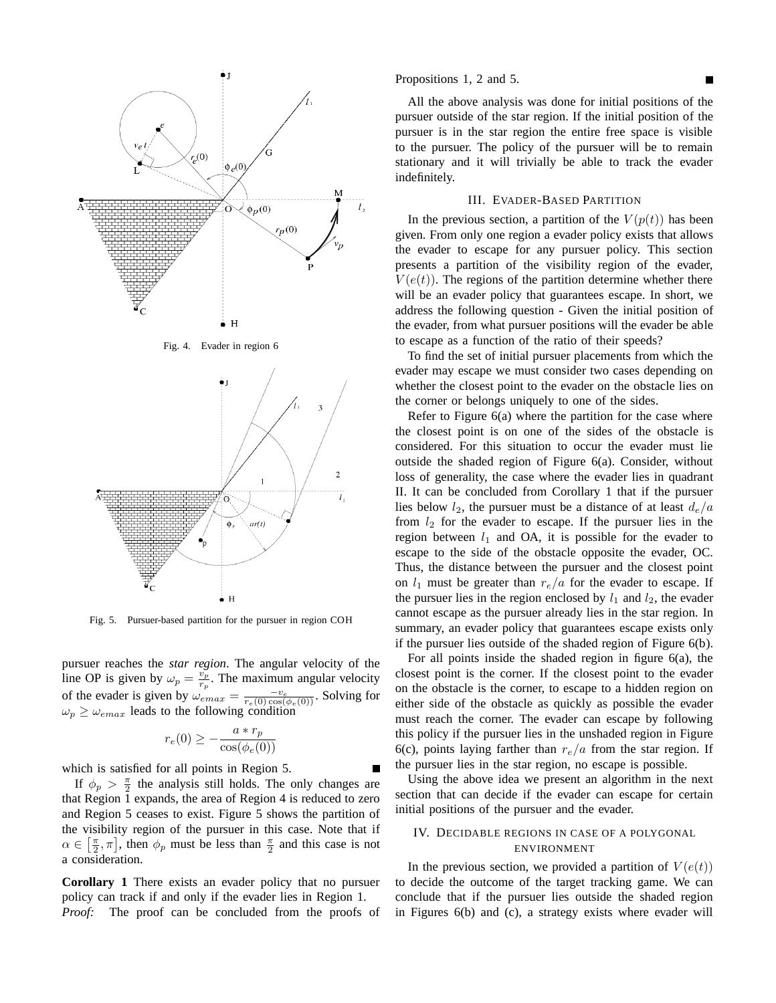

Fig. 5. Pursuer-based partition for the pursuer in region COH

pursuer reaches the *star region*. The angular velocity of the line OP is given by  $\omega_p = \frac{v_p}{r_p}$  $\frac{v_p}{r_p}$ . The maximum angular velocity of the evader is given by  $\omega_{emax} = \frac{-v_e}{r_e(0) \cos(\phi_e(0))}$ . Solving for  $\omega_p \geq \omega_{emax}$  leads to the following condition

$$
r_e(0) \ge -\frac{a * r_p}{\cos(\phi_e(0))}
$$

which is satisfied for all points in Region 5.

If  $\phi_p > \frac{\pi}{2}$  the analysis still holds. The only changes are that Region 1 expands, the area of Region 4 is reduced to zero and Region 5 ceases to exist. Figure 5 shows the partition of the visibility region of the pursuer in this case. Note that if  $\alpha \in \left[\frac{\pi}{2}, \pi\right]$ , then  $\phi_p$  must be less than  $\frac{\pi}{2}$  and this case is not a consideration.

**Corollary 1** There exists an evader policy that no pursuer policy can track if and only if the evader lies in Region 1. *Proof:* The proof can be concluded from the proofs of

#### Propositions 1, 2 and 5.

All the above analysis was done for initial positions of the pursuer outside of the star region. If the initial position of the pursuer is in the star region the entire free space is visible to the pursuer. The policy of the pursuer will be to remain stationary and it will trivially be able to track the evader indefinitely.

# III. EVADER-BASED PARTITION

In the previous section, a partition of the  $V(p(t))$  has been given. From only one region a evader policy exists that allows the evader to escape for any pursuer policy. This section presents a partition of the visibility region of the evader,  $V(e(t))$ . The regions of the partition determine whether there will be an evader policy that guarantees escape. In short, we address the following question - Given the initial position of the evader, from what pursuer positions will the evader be able to escape as a function of the ratio of their speeds?

To find the set of initial pursuer placements from which the evader may escape we must consider two cases depending on whether the closest point to the evader on the obstacle lies on the corner or belongs uniquely to one of the sides.

Refer to Figure  $6(a)$  where the partition for the case where the closest point is on one of the sides of the obstacle is considered. For this situation to occur the evader must lie outside the shaded region of Figure 6(a). Consider, without loss of generality, the case where the evader lies in quadrant II. It can be concluded from Corollary 1 that if the pursuer lies below  $l_2$ , the pursuer must be a distance of at least  $d_e/a$ from  $l_2$  for the evader to escape. If the pursuer lies in the region between  $l_1$  and OA, it is possible for the evader to escape to the side of the obstacle opposite the evader, OC. Thus, the distance between the pursuer and the closest point on  $l_1$  must be greater than  $r_e/a$  for the evader to escape. If the pursuer lies in the region enclosed by  $l_1$  and  $l_2$ , the evader cannot escape as the pursuer already lies in the star region. In summary, an evader policy that guarantees escape exists only if the pursuer lies outside of the shaded region of Figure 6(b).

For all points inside the shaded region in figure 6(a), the closest point is the corner. If the closest point to the evader on the obstacle is the corner, to escape to a hidden region on either side of the obstacle as quickly as possible the evader must reach the corner. The evader can escape by following this policy if the pursuer lies in the unshaded region in Figure 6(c), points laying farther than  $r_e/a$  from the star region. If the pursuer lies in the star region, no escape is possible.

Using the above idea we present an algorithm in the next section that can decide if the evader can escape for certain initial positions of the pursuer and the evader.

# IV. DECIDABLE REGIONS IN CASE OF A POLYGONAL ENVIRONMENT

In the previous section, we provided a partition of  $V(e(t))$ to decide the outcome of the target tracking game. We can conclude that if the pursuer lies outside the shaded region in Figures 6(b) and (c), a strategy exists where evader will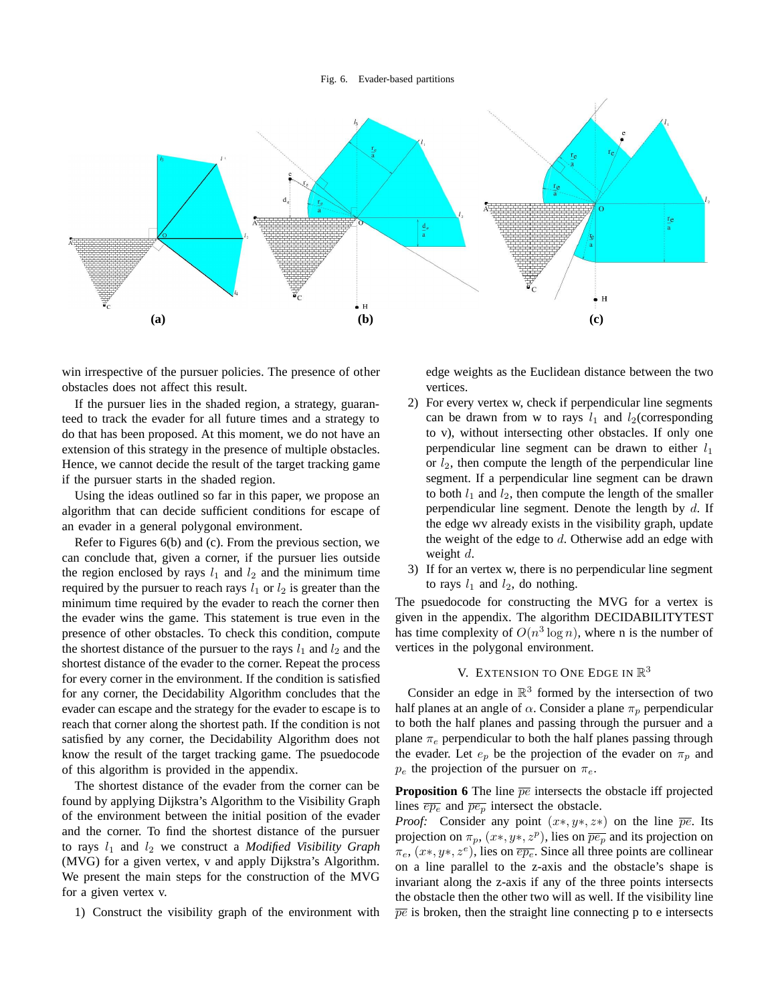#### Fig. 6. Evader-based partitions



win irrespective of the pursuer policies. The presence of other obstacles does not affect this result.

If the pursuer lies in the shaded region, a strategy, guaranteed to track the evader for all future times and a strategy to do that has been proposed. At this moment, we do not have an extension of this strategy in the presence of multiple obstacles. Hence, we cannot decide the result of the target tracking game if the pursuer starts in the shaded region.

Using the ideas outlined so far in this paper, we propose an algorithm that can decide sufficient conditions for escape of an evader in a general polygonal environment.

Refer to Figures 6(b) and (c). From the previous section, we can conclude that, given a corner, if the pursuer lies outside the region enclosed by rays  $l_1$  and  $l_2$  and the minimum time required by the pursuer to reach rays  $l_1$  or  $l_2$  is greater than the minimum time required by the evader to reach the corner then the evader wins the game. This statement is true even in the presence of other obstacles. To check this condition, compute the shortest distance of the pursuer to the rays  $l_1$  and  $l_2$  and the shortest distance of the evader to the corner. Repeat the process for every corner in the environment. If the condition is satisfied for any corner, the Decidability Algorithm concludes that the evader can escape and the strategy for the evader to escape is to reach that corner along the shortest path. If the condition is not satisfied by any corner, the Decidability Algorithm does not know the result of the target tracking game. The psuedocode of this algorithm is provided in the appendix.

The shortest distance of the evader from the corner can be found by applying Dijkstra's Algorithm to the Visibility Graph of the environment between the initial position of the evader and the corner. To find the shortest distance of the pursuer to rays  $l_1$  and  $l_2$  we construct a *Modified Visibility Graph* (MVG) for a given vertex, v and apply Dijkstra's Algorithm. We present the main steps for the construction of the MVG for a given vertex v.

1) Construct the visibility graph of the environment with

edge weights as the Euclidean distance between the two vertices.

- 2) For every vertex w, check if perpendicular line segments can be drawn from w to rays  $l_1$  and  $l_2$ (corresponding to v), without intersecting other obstacles. If only one perpendicular line segment can be drawn to either  $l_1$ or  $l_2$ , then compute the length of the perpendicular line segment. If a perpendicular line segment can be drawn to both  $l_1$  and  $l_2$ , then compute the length of the smaller perpendicular line segment. Denote the length by  $d$ . If the edge wv already exists in the visibility graph, update the weight of the edge to  $d$ . Otherwise add an edge with weight  $d$ .
- 3) If for an vertex w, there is no perpendicular line segment to rays  $l_1$  and  $l_2$ , do nothing.

The psuedocode for constructing the MVG for a vertex is given in the appendix. The algorithm DECIDABILITYTEST has time complexity of  $O(n^3 \log n)$ , where n is the number of vertices in the polygonal environment.

# V. EXTENSION TO ONE EDGE IN  $\mathbb{R}^3$

Consider an edge in  $\mathbb{R}^3$  formed by the intersection of two half planes at an angle of  $\alpha$ . Consider a plane  $\pi_p$  perpendicular to both the half planes and passing through the pursuer and a plane  $\pi_e$  perpendicular to both the half planes passing through the evader. Let  $e_p$  be the projection of the evader on  $\pi_p$  and  $p_e$  the projection of the pursuer on  $\pi_e$ .

**Proposition 6** The line  $\overline{pe}$  intersects the obstacle iff projected lines  $\overline{ep_e}$  and  $\overline{pe_p}$  intersect the obstacle.

*Proof:* Consider any point  $(x*, y*, z*)$  on the line  $\overline{pe}$ . Its projection on  $\pi_p$ ,  $(x*, y*, z^p)$ , lies on  $\overline{pe_p}$  and its projection on  $\pi_e$ ,  $(x*, y*, z^e)$ , lies on  $\overline{ep_e}$ . Since all three points are collinear on a line parallel to the z-axis and the obstacle's shape is invariant along the z-axis if any of the three points intersects the obstacle then the other two will as well. If the visibility line  $\overline{pe}$  is broken, then the straight line connecting p to e intersects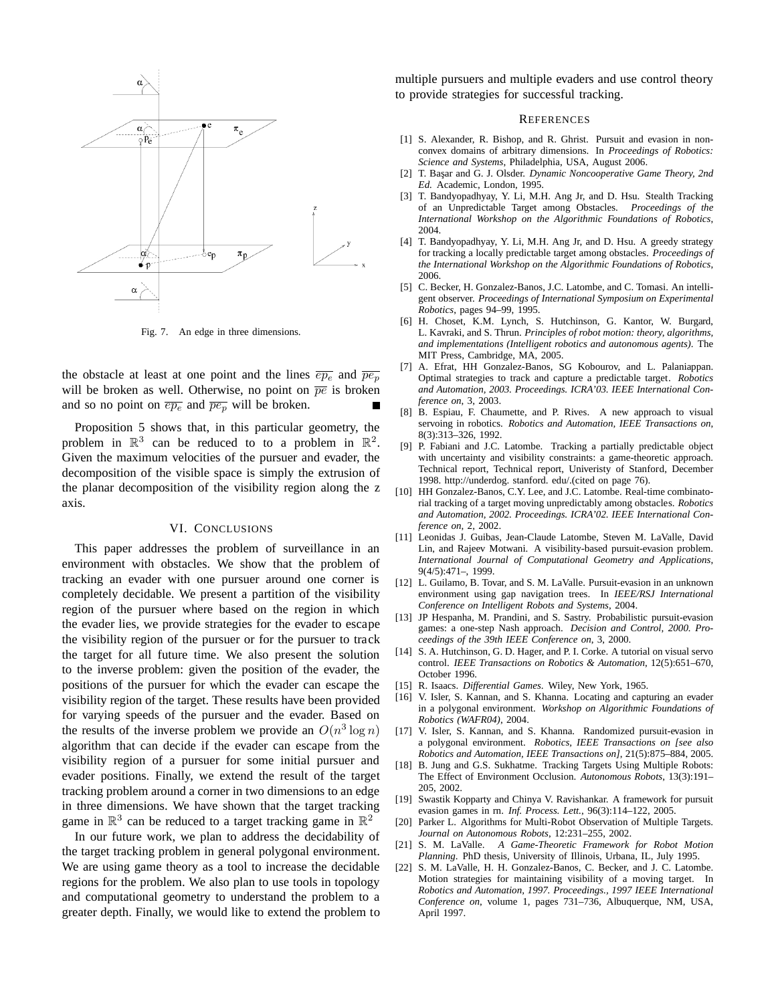

Fig. 7. An edge in three dimensions.

the obstacle at least at one point and the lines  $\overline{ep_e}$  and  $\overline{pe_p}$ will be broken as well. Otherwise, no point on  $\overline{pe}$  is broken and so no point on  $\overline{ep_e}$  and  $\overline{pe_p}$  will be broken.

Proposition 5 shows that, in this particular geometry, the problem in  $\mathbb{R}^3$  can be reduced to to a problem in  $\mathbb{R}^2$ . Given the maximum velocities of the pursuer and evader, the decomposition of the visible space is simply the extrusion of the planar decomposition of the visibility region along the z axis.

# VI. CONCLUSIONS

This paper addresses the problem of surveillance in an environment with obstacles. We show that the problem of tracking an evader with one pursuer around one corner is completely decidable. We present a partition of the visibility region of the pursuer where based on the region in which the evader lies, we provide strategies for the evader to escape the visibility region of the pursuer or for the pursuer to track the target for all future time. We also present the solution to the inverse problem: given the position of the evader, the positions of the pursuer for which the evader can escape the visibility region of the target. These results have been provided for varying speeds of the pursuer and the evader. Based on the results of the inverse problem we provide an  $O(n^3 \log n)$ algorithm that can decide if the evader can escape from the visibility region of a pursuer for some initial pursuer and evader positions. Finally, we extend the result of the target tracking problem around a corner in two dimensions to an edge in three dimensions. We have shown that the target tracking game in  $\mathbb{R}^3$  can be reduced to a target tracking game in  $\mathbb{R}^2$ 

In our future work, we plan to address the decidability of the target tracking problem in general polygonal environment. We are using game theory as a tool to increase the decidable regions for the problem. We also plan to use tools in topology and computational geometry to understand the problem to a greater depth. Finally, we would like to extend the problem to multiple pursuers and multiple evaders and use control theory to provide strategies for successful tracking.

## **REFERENCES**

- [1] S. Alexander, R. Bishop, and R. Ghrist. Pursuit and evasion in nonconvex domains of arbitrary dimensions. In *Proceedings of Robotics: Science and Systems*, Philadelphia, USA, August 2006.
- [2] T. Başar and G. J. Olsder. *Dynamic Noncooperative Game Theory, 2nd Ed.* Academic, London, 1995.
- [3] T. Bandyopadhyay, Y. Li, M.H. Ang Jr, and D. Hsu. Stealth Tracking of an Unpredictable Target among Obstacles. *Proceedings of the International Workshop on the Algorithmic Foundations of Robotics*, 2004.
- [4] T. Bandyopadhyay, Y. Li, M.H. Ang Jr, and D. Hsu. A greedy strategy for tracking a locally predictable target among obstacles. *Proceedings of the International Workshop on the Algorithmic Foundations of Robotics*, 2006.
- [5] C. Becker, H. Gonzalez-Banos, J.C. Latombe, and C. Tomasi. An intelligent observer. *Proceedings of International Symposium on Experimental Robotics*, pages 94–99, 1995.
- [6] H. Choset, K.M. Lynch, S. Hutchinson, G. Kantor, W. Burgard, L. Kavraki, and S. Thrun. *Principles of robot motion: theory, algorithms, and implementations (Intelligent robotics and autonomous agents)*. The MIT Press, Cambridge, MA, 2005.
- [7] A. Efrat, HH Gonzalez-Banos, SG Kobourov, and L. Palaniappan. Optimal strategies to track and capture a predictable target. *Robotics and Automation, 2003. Proceedings. ICRA'03. IEEE International Conference on*, 3, 2003.
- [8] B. Espiau, F. Chaumette, and P. Rives. A new approach to visual servoing in robotics. *Robotics and Automation, IEEE Transactions on*, 8(3):313–326, 1992.
- [9] P. Fabiani and J.C. Latombe. Tracking a partially predictable object with uncertainty and visibility constraints: a game-theoretic approach. Technical report, Technical report, Univeristy of Stanford, December 1998. http://underdog. stanford. edu/.(cited on page 76).
- [10] HH Gonzalez-Banos, C.Y. Lee, and J.C. Latombe. Real-time combinatorial tracking of a target moving unpredictably among obstacles. *Robotics and Automation, 2002. Proceedings. ICRA'02. IEEE International Conference on*, 2, 2002.
- [11] Leonidas J. Guibas, Jean-Claude Latombe, Steven M. LaValle, David Lin, and Rajeev Motwani. A visibility-based pursuit-evasion problem. *International Journal of Computational Geometry and Applications*, 9(4/5):471–, 1999.
- [12] L. Guilamo, B. Tovar, and S. M. LaValle. Pursuit-evasion in an unknown environment using gap navigation trees. In *IEEE/RSJ International Conference on Intelligent Robots and Systems*, 2004.
- [13] JP Hespanha, M. Prandini, and S. Sastry. Probabilistic pursuit-evasion games: a one-step Nash approach. *Decision and Control, 2000. Proceedings of the 39th IEEE Conference on*, 3, 2000.
- [14] S. A. Hutchinson, G. D. Hager, and P. I. Corke. A tutorial on visual servo control. *IEEE Transactions on Robotics & Automation*, 12(5):651–670, October 1996.
- [15] R. Isaacs. *Differential Games*. Wiley, New York, 1965.
- [16] V. Isler, S. Kannan, and S. Khanna. Locating and capturing an evader in a polygonal environment. *Workshop on Algorithmic Foundations of Robotics (WAFR04)*, 2004.
- [17] V. Isler, S. Kannan, and S. Khanna. Randomized pursuit-evasion in a polygonal environment. *Robotics, IEEE Transactions on [see also Robotics and Automation, IEEE Transactions on]*, 21(5):875–884, 2005.
- [18] B. Jung and G.S. Sukhatme. Tracking Targets Using Multiple Robots: The Effect of Environment Occlusion. *Autonomous Robots*, 13(3):191– 205, 2002.
- [19] Swastik Kopparty and Chinya V. Ravishankar. A framework for pursuit evasion games in rn. *Inf. Process. Lett.*, 96(3):114–122, 2005.
- [20] Parker L. Algorithms for Multi-Robot Observation of Multiple Targets. *Journal on Autonomous Robots*, 12:231–255, 2002.
- [21] S. M. LaValle. *A Game-Theoretic Framework for Robot Motion Planning*. PhD thesis, University of Illinois, Urbana, IL, July 1995.
- [22] S. M. LaValle, H. H. Gonzalez-Banos, C. Becker, and J. C. Latombe. Motion strategies for maintaining visibility of a moving target. In *Robotics and Automation, 1997. Proceedings., 1997 IEEE International Conference on*, volume 1, pages 731–736, Albuquerque, NM, USA, April 1997.